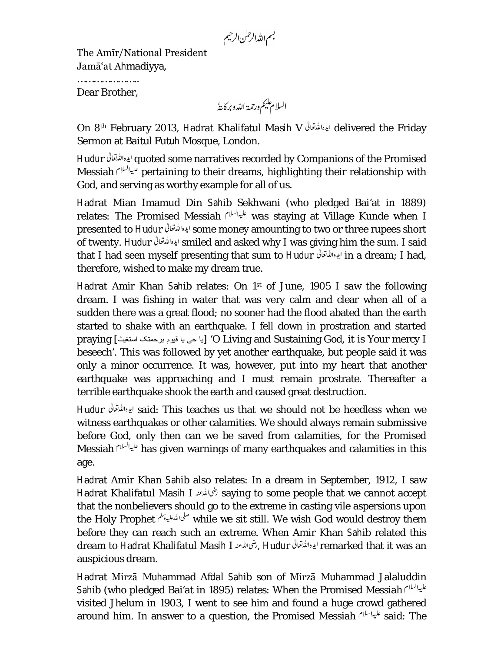بسم الله الرحمٰن الرحيم

The Amīr/National President Jamā'at Ahmadiyya,

………………………… Dear Brother,

السلام عليم ورحمة الله وبركايةُ

On 8<sup>th</sup> February 2013, Hadrat Khalifatul Masih V ايده الشقالي delivered the Friday Sermon at Baitul Futuh Mosque, London.

Hudur quoted some narratives recorded by Companions of the Promised Messiah pertaining to their dreams, highlighting their relationship with God, and serving as worthy example for all of us.

Hadrat Mian Imamud Din Sahib Sekhwani (who pledged Bai'at in 1889) relates: The Promised Messiah was staying at Village Kunde when I presented to Hudur some money amounting to two or three rupees short of twenty. Hudur smiled and asked why I was giving him the sum. I said that I had seen myself presenting that sum to Hudur in a dream; I had, therefore, wished to make my dream true.

Hadrat Amir Khan Sahib relates: On 1<sup>st</sup> of June, 1905 I saw the following dream. I was fishing in water that was very calm and clear when all of a sudden there was a great flood; no sooner had the flood abated than the earth started to shake with an earthquake. I fell down in prostration and started praying [استغیث برحمتک قیوم یا حی یا' [O Living and Sustaining God, it is Your mercy I beseech'. This was followed by yet another earthquake, but people said it was only a minor occurrence. It was, however, put into my heart that another earthquake was approaching and I must remain prostrate. Thereafter a terrible earthquake shook the earth and caused great destruction.

Hudur said: This teaches us that we should not be heedless when we witness earthquakes or other calamities. We should always remain submissive before God, only then can we be saved from calamities, for the Promised Messiah has given warnings of many earthquakes and calamities in this age.

Hadrat Amir Khan Sahib also relates: In a dream in September, 1912, I saw Hadrat Khalifatul Masih I المخمالة عنه السلامة saying to some people that we cannot accept that the nonbelievers should go to the extreme in casting vile aspersions upon the Holy Prophet شلى الله عليه تبلم while we sit still. We wish God would destroy them before they can reach such an extreme. When Amir Khan Sahib related this dream to Hadrat Khalifatul Masih I رض الله عنه المسلمين , Hudur اليه والله تعالى remarked that it was an auspicious dream.

Hadrat Mirzā Muhammad Afdal Sahib son of Mirzā Muhammad Jalaluddin Sahib (who pledged Bai'at in 1895) relates: When the Promised Messiah visited Jhelum in 1903, I went to see him and found a huge crowd gathered around him. In answer to a question, the Promised Messiah المياليلام said: The